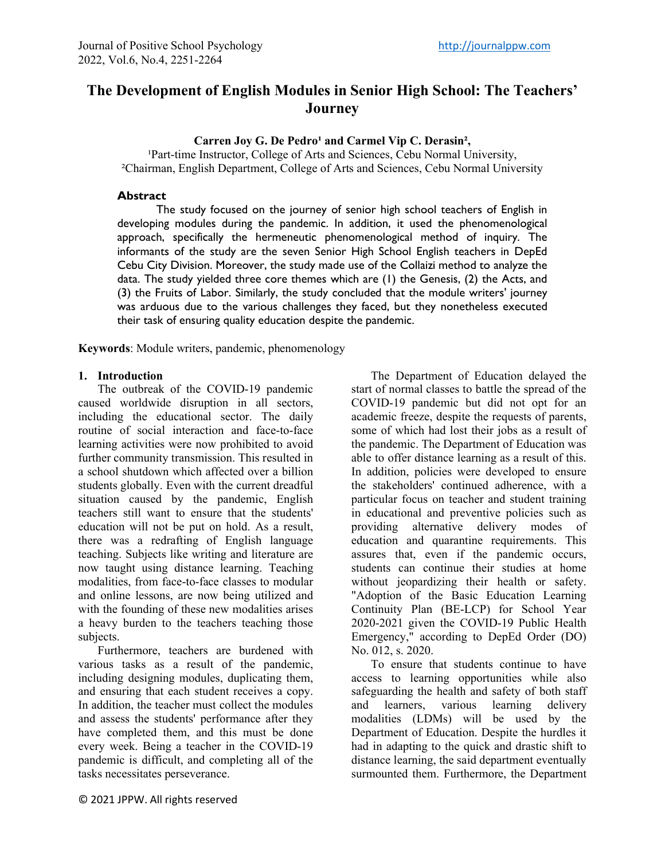# **The Development of English Modules in Senior High School: The Teachers' Journey**

Carren Joy G. De Pedro<sup>1</sup> and Carmel Vip C. Derasin<sup>2</sup>,

<sup>1</sup>Part-time Instructor, College of Arts and Sciences, Cebu Normal University, ²Chairman, English Department, College of Arts and Sciences, Cebu Normal University

#### **Abstract**

The study focused on the journey of senior high school teachers of English in developing modules during the pandemic. In addition, it used the phenomenological approach, specifically the hermeneutic phenomenological method of inquiry. The informants of the study are the seven Senior High School English teachers in DepEd Cebu City Division. Moreover, the study made use of the Collaizi method to analyze the data. The study yielded three core themes which are (1) the Genesis, (2) the Acts, and (3) the Fruits of Labor. Similarly, the study concluded that the module writers' journey was arduous due to the various challenges they faced, but they nonetheless executed their task of ensuring quality education despite the pandemic.

**Keywords**: Module writers, pandemic, phenomenology

#### **1. Introduction**

The outbreak of the COVID-19 pandemic caused worldwide disruption in all sectors, including the educational sector. The daily routine of social interaction and face-to-face learning activities were now prohibited to avoid further community transmission. This resulted in a school shutdown which affected over a billion students globally. Even with the current dreadful situation caused by the pandemic, English teachers still want to ensure that the students' education will not be put on hold. As a result, there was a redrafting of English language teaching. Subjects like writing and literature are now taught using distance learning. Teaching modalities, from face-to-face classes to modular and online lessons, are now being utilized and with the founding of these new modalities arises a heavy burden to the teachers teaching those subjects.

Furthermore, teachers are burdened with various tasks as a result of the pandemic, including designing modules, duplicating them, and ensuring that each student receives a copy. In addition, the teacher must collect the modules and assess the students' performance after they have completed them, and this must be done every week. Being a teacher in the COVID-19 pandemic is difficult, and completing all of the tasks necessitates perseverance.

The Department of Education delayed the start of normal classes to battle the spread of the COVID-19 pandemic but did not opt for an academic freeze, despite the requests of parents, some of which had lost their jobs as a result of the pandemic. The Department of Education was able to offer distance learning as a result of this. In addition, policies were developed to ensure the stakeholders' continued adherence, with a particular focus on teacher and student training in educational and preventive policies such as providing alternative delivery modes of education and quarantine requirements. This assures that, even if the pandemic occurs, students can continue their studies at home without jeopardizing their health or safety. "Adoption of the Basic Education Learning Continuity Plan (BE-LCP) for School Year 2020-2021 given the COVID-19 Public Health Emergency," according to DepEd Order (DO) No. 012, s. 2020.

To ensure that students continue to have access to learning opportunities while also safeguarding the health and safety of both staff and learners, various learning delivery modalities (LDMs) will be used by the Department of Education. Despite the hurdles it had in adapting to the quick and drastic shift to distance learning, the said department eventually surmounted them. Furthermore, the Department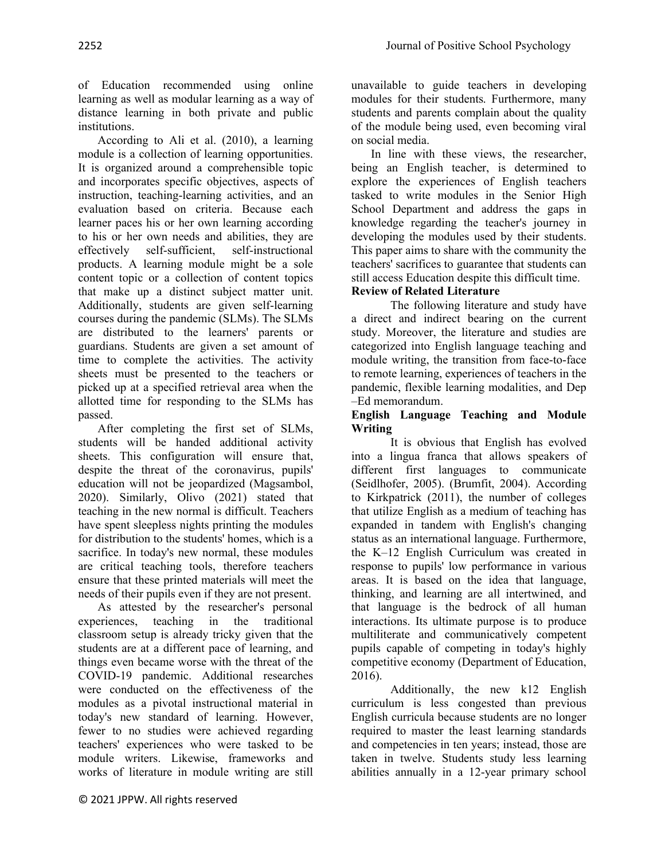of Education recommended using online learning as well as modular learning as a way of distance learning in both private and public institutions.

According to Ali et al. (2010), a learning module is a collection of learning opportunities. It is organized around a comprehensible topic and incorporates specific objectives, aspects of instruction, teaching-learning activities, and an evaluation based on criteria. Because each learner paces his or her own learning according to his or her own needs and abilities, they are effectively self-sufficient, self-instructional products. A learning module might be a sole content topic or a collection of content topics that make up a distinct subject matter unit. Additionally, students are given self-learning courses during the pandemic (SLMs). The SLMs are distributed to the learners' parents or guardians. Students are given a set amount of time to complete the activities. The activity sheets must be presented to the teachers or picked up at a specified retrieval area when the allotted time for responding to the SLMs has passed.

After completing the first set of SLMs, students will be handed additional activity sheets. This configuration will ensure that, despite the threat of the coronavirus, pupils' education will not be jeopardized (Magsambol, 2020). Similarly, Olivo (2021) stated that teaching in the new normal is difficult. Teachers have spent sleepless nights printing the modules for distribution to the students' homes, which is a sacrifice. In today's new normal, these modules are critical teaching tools, therefore teachers ensure that these printed materials will meet the needs of their pupils even if they are not present.

As attested by the researcher's personal experiences, teaching in the traditional classroom setup is already tricky given that the students are at a different pace of learning, and things even became worse with the threat of the COVID-19 pandemic. Additional researches were conducted on the effectiveness of the modules as a pivotal instructional material in today's new standard of learning. However, fewer to no studies were achieved regarding teachers' experiences who were tasked to be module writers. Likewise, frameworks and works of literature in module writing are still

unavailable to guide teachers in developing modules for their students. Furthermore, many students and parents complain about the quality of the module being used, even becoming viral on social media.

In line with these views, the researcher, being an English teacher, is determined to explore the experiences of English teachers tasked to write modules in the Senior High School Department and address the gaps in knowledge regarding the teacher's journey in developing the modules used by their students. This paper aims to share with the community the teachers' sacrifices to guarantee that students can still access Education despite this difficult time.

# **Review of Related Literature**

The following literature and study have a direct and indirect bearing on the current study. Moreover, the literature and studies are categorized into English language teaching and module writing, the transition from face-to-face to remote learning, experiences of teachers in the pandemic, flexible learning modalities, and Dep –Ed memorandum.

### **English Language Teaching and Module Writing**

It is obvious that English has evolved into a lingua franca that allows speakers of different first languages to communicate (Seidlhofer, 2005). (Brumfit, 2004). According to Kirkpatrick (2011), the number of colleges that utilize English as a medium of teaching has expanded in tandem with English's changing status as an international language. Furthermore, the K–12 English Curriculum was created in response to pupils' low performance in various areas. It is based on the idea that language, thinking, and learning are all intertwined, and that language is the bedrock of all human interactions. Its ultimate purpose is to produce multiliterate and communicatively competent pupils capable of competing in today's highly competitive economy (Department of Education, 2016).

Additionally, the new k12 English curriculum is less congested than previous English curricula because students are no longer required to master the least learning standards and competencies in ten years; instead, those are taken in twelve. Students study less learning abilities annually in a 12-year primary school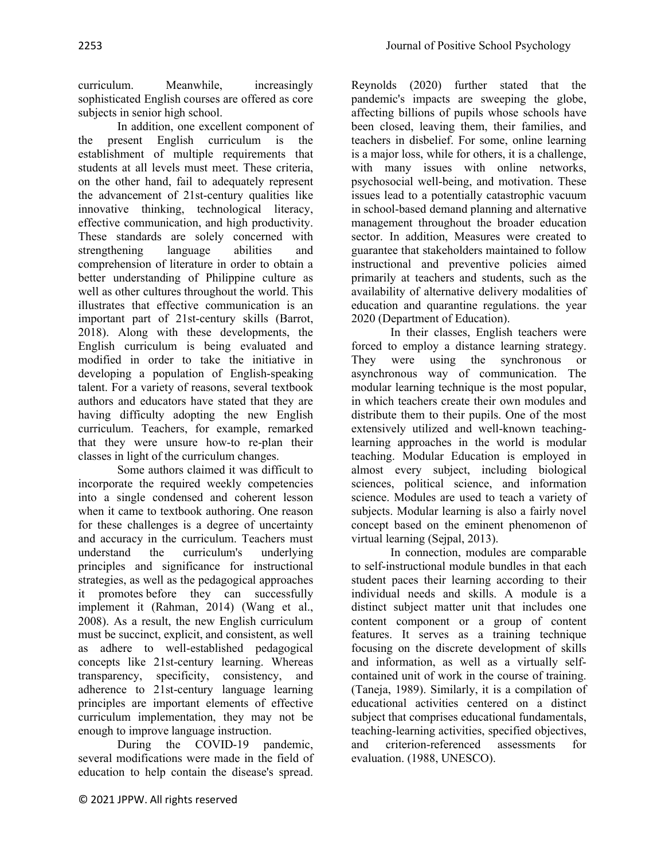curriculum. Meanwhile, increasingly sophisticated English courses are offered as core subjects in senior high school.

In addition, one excellent component of the present English curriculum is the establishment of multiple requirements that students at all levels must meet. These criteria, on the other hand, fail to adequately represent the advancement of 21st-century qualities like innovative thinking, technological literacy, effective communication, and high productivity. These standards are solely concerned with strengthening language abilities and comprehension of literature in order to obtain a better understanding of Philippine culture as well as other cultures throughout the world. This illustrates that effective communication is an important part of 21st-century skills (Barrot, 2018). Along with these developments, the English curriculum is being evaluated and modified in order to take the initiative in developing a population of English-speaking talent. For a variety of reasons, several textbook authors and educators have stated that they are having difficulty adopting the new English curriculum. Teachers, for example, remarked that they were unsure how-to re-plan their classes in light of the curriculum changes.

Some authors claimed it was difficult to incorporate the required weekly competencies into a single condensed and coherent lesson when it came to textbook authoring. One reason for these challenges is a degree of uncertainty and accuracy in the curriculum. Teachers must understand the curriculum's underlying principles and significance for instructional strategies, as well as the pedagogical approaches it promotes before they can successfully implement it (Rahman, 2014) (Wang et al., 2008). As a result, the new English curriculum must be succinct, explicit, and consistent, as well as adhere to well-established pedagogical concepts like 21st-century learning. Whereas transparency, specificity, consistency, and adherence to 21st-century language learning principles are important elements of effective curriculum implementation, they may not be enough to improve language instruction.

During the COVID-19 pandemic, several modifications were made in the field of education to help contain the disease's spread.

Reynolds (2020) further stated that the pandemic's impacts are sweeping the globe, affecting billions of pupils whose schools have been closed, leaving them, their families, and teachers in disbelief. For some, online learning is a major loss, while for others, it is a challenge, with many issues with online networks, psychosocial well-being, and motivation. These issues lead to a potentially catastrophic vacuum in school-based demand planning and alternative management throughout the broader education sector. In addition, Measures were created to guarantee that stakeholders maintained to follow instructional and preventive policies aimed primarily at teachers and students, such as the availability of alternative delivery modalities of education and quarantine regulations. the year 2020 (Department of Education).

In their classes, English teachers were forced to employ a distance learning strategy. They were using the synchronous or asynchronous way of communication. The modular learning technique is the most popular, in which teachers create their own modules and distribute them to their pupils. One of the most extensively utilized and well-known teachinglearning approaches in the world is modular teaching. Modular Education is employed in almost every subject, including biological sciences, political science, and information science. Modules are used to teach a variety of subjects. Modular learning is also a fairly novel concept based on the eminent phenomenon of virtual learning (Sejpal, 2013).

In connection, modules are comparable to self-instructional module bundles in that each student paces their learning according to their individual needs and skills. A module is a distinct subject matter unit that includes one content component or a group of content features. It serves as a training technique focusing on the discrete development of skills and information, as well as a virtually selfcontained unit of work in the course of training. (Taneja, 1989). Similarly, it is a compilation of educational activities centered on a distinct subject that comprises educational fundamentals, teaching-learning activities, specified objectives, and criterion-referenced assessments for evaluation. (1988, UNESCO).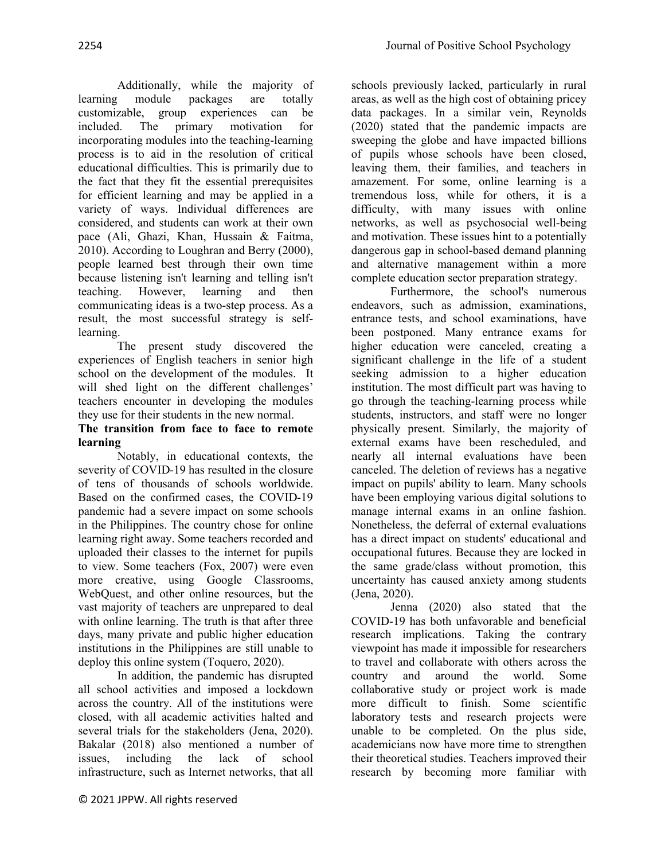Additionally, while the majority of learning module packages are totally customizable, group experiences can be included. The primary motivation for incorporating modules into the teaching-learning process is to aid in the resolution of critical educational difficulties. This is primarily due to the fact that they fit the essential prerequisites for efficient learning and may be applied in a variety of ways. Individual differences are considered, and students can work at their own pace (Ali, Ghazi, Khan, Hussain & Faitma, 2010). According to Loughran and Berry (2000), people learned best through their own time because listening isn't learning and telling isn't teaching. However, learning and then communicating ideas is a two-step process. As a result, the most successful strategy is selflearning.

The present study discovered the experiences of English teachers in senior high school on the development of the modules. It will shed light on the different challenges' teachers encounter in developing the modules they use for their students in the new normal.

# **The transition from face to face to remote learning**

Notably, in educational contexts, the severity of COVID-19 has resulted in the closure of tens of thousands of schools worldwide. Based on the confirmed cases, the COVID-19 pandemic had a severe impact on some schools in the Philippines. The country chose for online learning right away. Some teachers recorded and uploaded their classes to the internet for pupils to view. Some teachers (Fox, 2007) were even more creative, using Google Classrooms, WebQuest, and other online resources, but the vast majority of teachers are unprepared to deal with online learning. The truth is that after three days, many private and public higher education institutions in the Philippines are still unable to deploy this online system (Toquero, 2020).

In addition, the pandemic has disrupted all school activities and imposed a lockdown across the country. All of the institutions were closed, with all academic activities halted and several trials for the stakeholders (Jena, 2020). Bakalar (2018) also mentioned a number of issues, including the lack of school infrastructure, such as Internet networks, that all

schools previously lacked, particularly in rural areas, as well as the high cost of obtaining pricey data packages. In a similar vein, Reynolds (2020) stated that the pandemic impacts are sweeping the globe and have impacted billions of pupils whose schools have been closed, leaving them, their families, and teachers in amazement. For some, online learning is a tremendous loss, while for others, it is a difficulty, with many issues with online networks, as well as psychosocial well-being and motivation. These issues hint to a potentially dangerous gap in school-based demand planning and alternative management within a more complete education sector preparation strategy.

Furthermore, the school's numerous endeavors, such as admission, examinations, entrance tests, and school examinations, have been postponed. Many entrance exams for higher education were canceled, creating a significant challenge in the life of a student seeking admission to a higher education institution. The most difficult part was having to go through the teaching-learning process while students, instructors, and staff were no longer physically present. Similarly, the majority of external exams have been rescheduled, and nearly all internal evaluations have been canceled. The deletion of reviews has a negative impact on pupils' ability to learn. Many schools have been employing various digital solutions to manage internal exams in an online fashion. Nonetheless, the deferral of external evaluations has a direct impact on students' educational and occupational futures. Because they are locked in the same grade/class without promotion, this uncertainty has caused anxiety among students (Jena, 2020).

Jenna (2020) also stated that the COVID-19 has both unfavorable and beneficial research implications. Taking the contrary viewpoint has made it impossible for researchers to travel and collaborate with others across the country and around the world. Some collaborative study or project work is made more difficult to finish. Some scientific laboratory tests and research projects were unable to be completed. On the plus side, academicians now have more time to strengthen their theoretical studies. Teachers improved their research by becoming more familiar with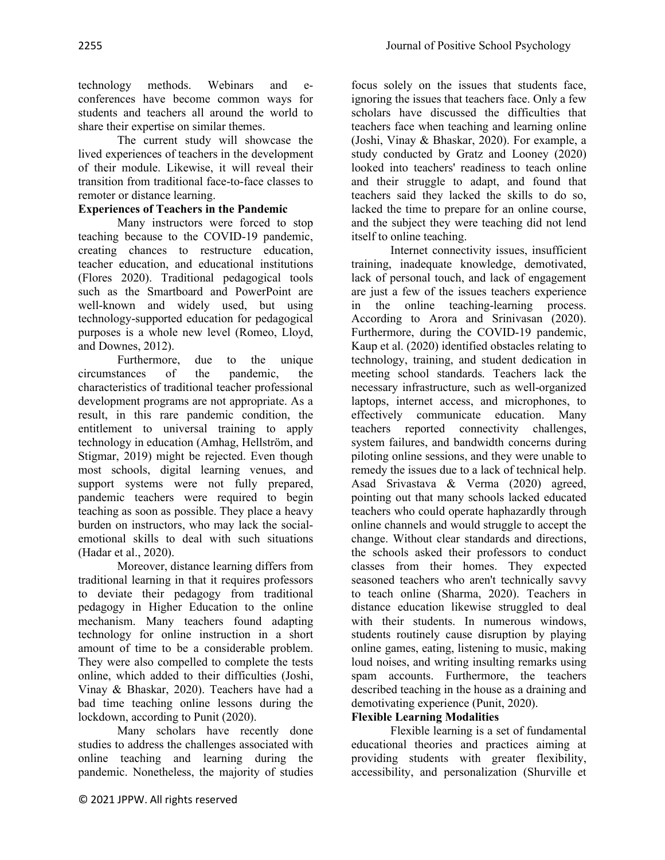focus solely on the issues that students face,

technology methods. Webinars and econferences have become common ways for students and teachers all around the world to share their expertise on similar themes.

The current study will showcase the lived experiences of teachers in the development of their module. Likewise, it will reveal their transition from traditional face-to-face classes to remoter or distance learning.

## **Experiences of Teachers in the Pandemic**

Many instructors were forced to stop teaching because to the COVID-19 pandemic, creating chances to restructure education, teacher education, and educational institutions (Flores 2020). Traditional pedagogical tools such as the Smartboard and PowerPoint are well-known and widely used, but using technology-supported education for pedagogical purposes is a whole new level (Romeo, Lloyd, and Downes, 2012).

Furthermore, due to the unique circumstances of the pandemic, the characteristics of traditional teacher professional development programs are not appropriate. As a result, in this rare pandemic condition, the entitlement to universal training to apply technology in education (Amhag, Hellström, and Stigmar, 2019) might be rejected. Even though most schools, digital learning venues, and support systems were not fully prepared, pandemic teachers were required to begin teaching as soon as possible. They place a heavy burden on instructors, who may lack the socialemotional skills to deal with such situations (Hadar et al., 2020).

Moreover, distance learning differs from traditional learning in that it requires professors to deviate their pedagogy from traditional pedagogy in Higher Education to the online mechanism. Many teachers found adapting technology for online instruction in a short amount of time to be a considerable problem. They were also compelled to complete the tests online, which added to their difficulties (Joshi, Vinay & Bhaskar, 2020). Teachers have had a bad time teaching online lessons during the lockdown, according to Punit (2020).

Many scholars have recently done studies to address the challenges associated with online teaching and learning during the pandemic. Nonetheless, the majority of studies

ignoring the issues that teachers face. Only a few scholars have discussed the difficulties that teachers face when teaching and learning online (Joshi, Vinay & Bhaskar, 2020). For example, a study conducted by Gratz and Looney (2020) looked into teachers' readiness to teach online and their struggle to adapt, and found that teachers said they lacked the skills to do so, lacked the time to prepare for an online course, and the subject they were teaching did not lend itself to online teaching. Internet connectivity issues, insufficient

training, inadequate knowledge, demotivated, lack of personal touch, and lack of engagement are just a few of the issues teachers experience in the online teaching-learning process. According to Arora and Srinivasan (2020). Furthermore, during the COVID-19 pandemic, Kaup et al. (2020) identified obstacles relating to technology, training, and student dedication in meeting school standards. Teachers lack the necessary infrastructure, such as well-organized laptops, internet access, and microphones, to effectively communicate education. Many teachers reported connectivity challenges, system failures, and bandwidth concerns during piloting online sessions, and they were unable to remedy the issues due to a lack of technical help. Asad Srivastava & Verma (2020) agreed, pointing out that many schools lacked educated teachers who could operate haphazardly through online channels and would struggle to accept the change. Without clear standards and directions, the schools asked their professors to conduct classes from their homes. They expected seasoned teachers who aren't technically savvy to teach online (Sharma, 2020). Teachers in distance education likewise struggled to deal with their students. In numerous windows, students routinely cause disruption by playing online games, eating, listening to music, making loud noises, and writing insulting remarks using spam accounts. Furthermore, the teachers described teaching in the house as a draining and demotivating experience (Punit, 2020).

#### **Flexible Learning Modalities**

Flexible learning is a set of fundamental educational theories and practices aiming at providing students with greater flexibility, accessibility, and personalization (Shurville et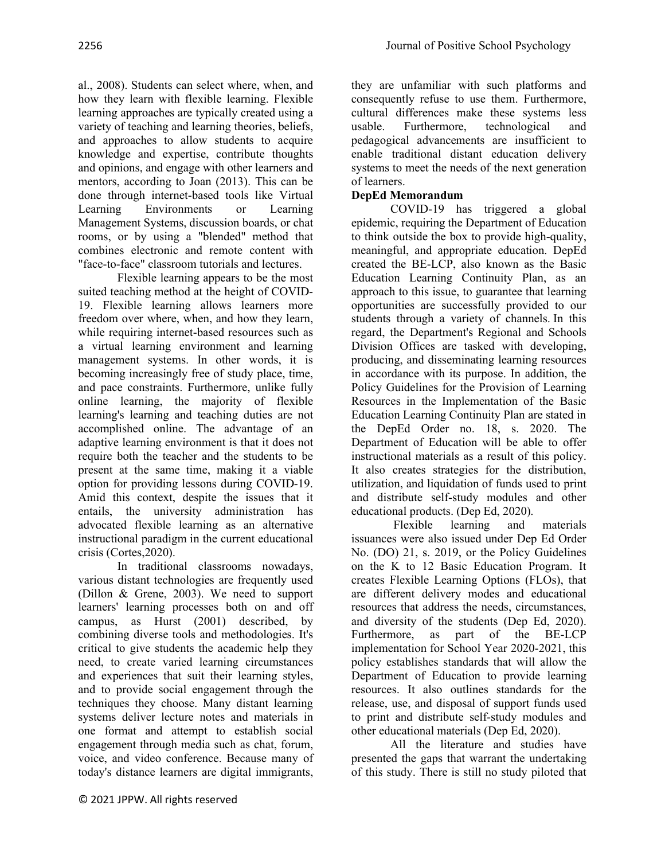al., 2008). Students can select where, when, and how they learn with flexible learning. Flexible learning approaches are typically created using a variety of teaching and learning theories, beliefs, and approaches to allow students to acquire knowledge and expertise, contribute thoughts and opinions, and engage with other learners and mentors, according to Joan (2013). This can be done through internet-based tools like Virtual Learning Environments or Learning Management Systems, discussion boards, or chat rooms, or by using a "blended" method that combines electronic and remote content with "face-to-face" classroom tutorials and lectures.

Flexible learning appears to be the most suited teaching method at the height of COVID-19. Flexible learning allows learners more freedom over where, when, and how they learn, while requiring internet-based resources such as a virtual learning environment and learning management systems. In other words, it is becoming increasingly free of study place, time, and pace constraints. Furthermore, unlike fully online learning, the majority of flexible learning's learning and teaching duties are not accomplished online. The advantage of an adaptive learning environment is that it does not require both the teacher and the students to be present at the same time, making it a viable option for providing lessons during COVID-19. Amid this context, despite the issues that it entails, the university administration has advocated flexible learning as an alternative instructional paradigm in the current educational crisis (Cortes,2020).

In traditional classrooms nowadays, various distant technologies are frequently used (Dillon & Grene, 2003). We need to support learners' learning processes both on and off campus, as Hurst (2001) described, by combining diverse tools and methodologies. It's critical to give students the academic help they need, to create varied learning circumstances and experiences that suit their learning styles, and to provide social engagement through the techniques they choose. Many distant learning systems deliver lecture notes and materials in one format and attempt to establish social engagement through media such as chat, forum, voice, and video conference. Because many of today's distance learners are digital immigrants,

they are unfamiliar with such platforms and consequently refuse to use them. Furthermore, cultural differences make these systems less usable. Furthermore, technological and pedagogical advancements are insufficient to enable traditional distant education delivery systems to meet the needs of the next generation of learners.

# **DepEd Memorandum**

COVID-19 has triggered a global epidemic, requiring the Department of Education to think outside the box to provide high-quality, meaningful, and appropriate education. DepEd created the BE-LCP, also known as the Basic Education Learning Continuity Plan, as an approach to this issue, to guarantee that learning opportunities are successfully provided to our students through a variety of channels. In this regard, the Department's Regional and Schools Division Offices are tasked with developing, producing, and disseminating learning resources in accordance with its purpose. In addition, the Policy Guidelines for the Provision of Learning Resources in the Implementation of the Basic Education Learning Continuity Plan are stated in the DepEd Order no. 18, s. 2020. The Department of Education will be able to offer instructional materials as a result of this policy. It also creates strategies for the distribution, utilization, and liquidation of funds used to print and distribute self-study modules and other educational products. (Dep Ed, 2020).

Flexible learning and materials issuances were also issued under Dep Ed Order No. (DO) 21, s. 2019, or the Policy Guidelines on the K to 12 Basic Education Program. It creates Flexible Learning Options (FLOs), that are different delivery modes and educational resources that address the needs, circumstances, and diversity of the students (Dep Ed, 2020). Furthermore, as part of the BE-LCP implementation for School Year 2020-2021, this policy establishes standards that will allow the Department of Education to provide learning resources. It also outlines standards for the release, use, and disposal of support funds used to print and distribute self-study modules and other educational materials (Dep Ed, 2020).

All the literature and studies have presented the gaps that warrant the undertaking of this study. There is still no study piloted that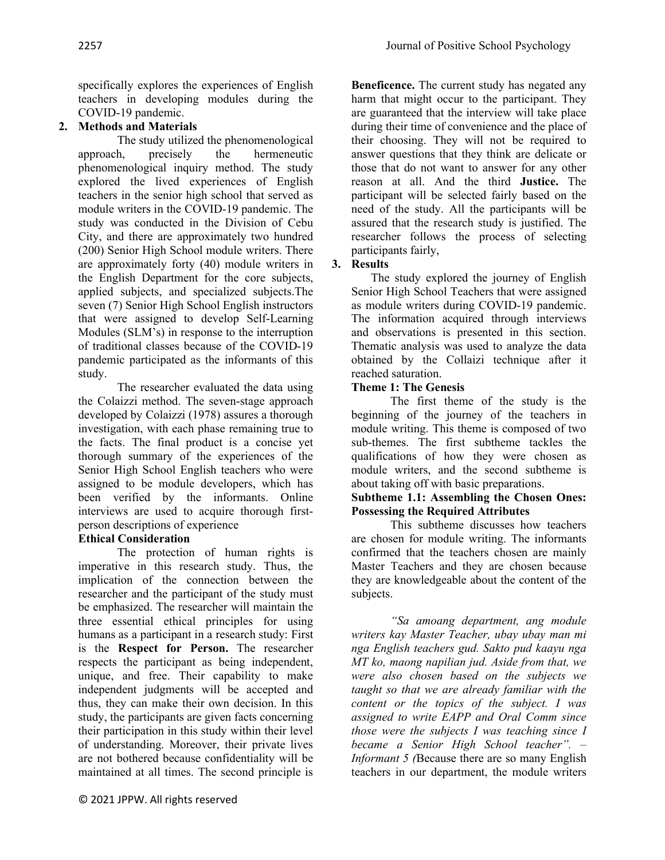specifically explores the experiences of English teachers in developing modules during the COVID-19 pandemic.

# **2. Methods and Materials**

The study utilized the phenomenological approach, precisely the hermeneutic phenomenological inquiry method. The study explored the lived experiences of English teachers in the senior high school that served as module writers in the COVID-19 pandemic. The study was conducted in the Division of Cebu City, and there are approximately two hundred (200) Senior High School module writers. There are approximately forty (40) module writers in the English Department for the core subjects, applied subjects, and specialized subjects.The seven (7) Senior High School English instructors that were assigned to develop Self-Learning Modules (SLM's) in response to the interruption of traditional classes because of the COVID-19 pandemic participated as the informants of this study.

The researcher evaluated the data using the Colaizzi method. The seven-stage approach developed by Colaizzi (1978) assures a thorough investigation, with each phase remaining true to the facts. The final product is a concise yet thorough summary of the experiences of the Senior High School English teachers who were assigned to be module developers, which has been verified by the informants. Online interviews are used to acquire thorough firstperson descriptions of experience

# **Ethical Consideration**

The protection of human rights is imperative in this research study. Thus, the implication of the connection between the researcher and the participant of the study must be emphasized. The researcher will maintain the three essential ethical principles for using humans as a participant in a research study: First is the **Respect for Person.** The researcher respects the participant as being independent, unique, and free. Their capability to make independent judgments will be accepted and thus, they can make their own decision. In this study, the participants are given facts concerning their participation in this study within their level of understanding. Moreover, their private lives are not bothered because confidentiality will be maintained at all times. The second principle is

**Beneficence.** The current study has negated any harm that might occur to the participant. They are guaranteed that the interview will take place during their time of convenience and the place of their choosing. They will not be required to answer questions that they think are delicate or those that do not want to answer for any other reason at all. And the third **Justice.** The participant will be selected fairly based on the need of the study. All the participants will be assured that the research study is justified. The researcher follows the process of selecting participants fairly,

# **3. Results**

The study explored the journey of English Senior High School Teachers that were assigned as module writers during COVID-19 pandemic. The information acquired through interviews and observations is presented in this section. Thematic analysis was used to analyze the data obtained by the Collaizi technique after it reached saturation.

# **Theme 1: The Genesis**

The first theme of the study is the beginning of the journey of the teachers in module writing. This theme is composed of two sub-themes. The first subtheme tackles the qualifications of how they were chosen as module writers, and the second subtheme is about taking off with basic preparations.

#### **Subtheme 1.1: Assembling the Chosen Ones: Possessing the Required Attributes**

This subtheme discusses how teachers are chosen for module writing. The informants confirmed that the teachers chosen are mainly Master Teachers and they are chosen because they are knowledgeable about the content of the subjects.

*"Sa amoang department, ang module writers kay Master Teacher, ubay ubay man mi nga English teachers gud. Sakto pud kaayu nga MT ko, maong napilian jud. Aside from that, we were also chosen based on the subjects we taught so that we are already familiar with the content or the topics of the subject. I was assigned to write EAPP and Oral Comm since those were the subjects I was teaching since I became a Senior High School teacher". – Informant 5 (*Because there are so many English teachers in our department, the module writers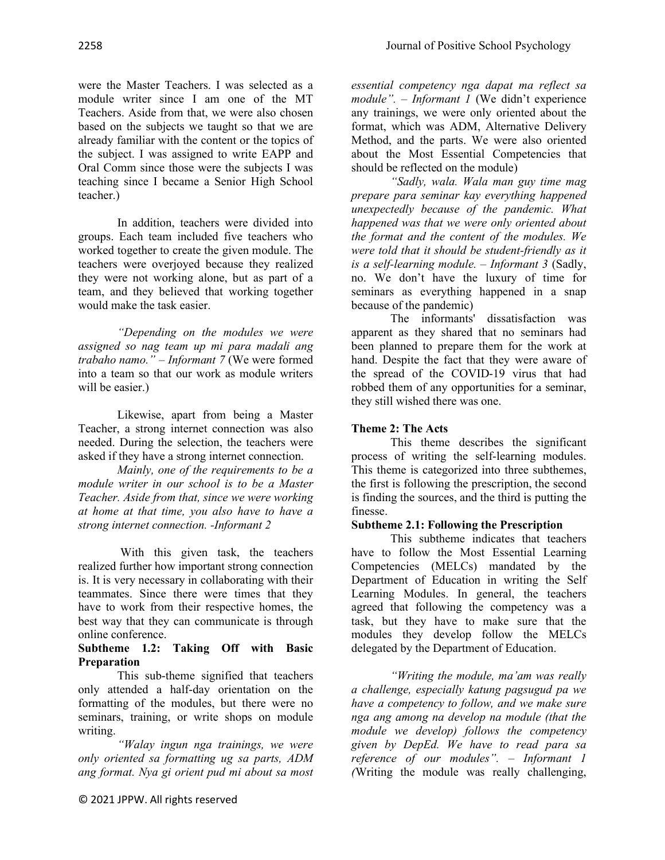were the Master Teachers. I was selected as a module writer since I am one of the MT Teachers. Aside from that, we were also chosen based on the subjects we taught so that we are already familiar with the content or the topics of the subject. I was assigned to write EAPP and Oral Comm since those were the subjects I was teaching since I became a Senior High School teacher.)

In addition, teachers were divided into groups. Each team included five teachers who worked together to create the given module. The teachers were overjoyed because they realized they were not working alone, but as part of a team, and they believed that working together would make the task easier.

*"Depending on the modules we were assigned so nag team up mi para madali ang trabaho namo." – Informant 7* (We were formed into a team so that our work as module writers will be easier.)

Likewise, apart from being a Master Teacher, a strong internet connection was also needed. During the selection, the teachers were asked if they have a strong internet connection.

*Mainly, one of the requirements to be a module writer in our school is to be a Master Teacher. Aside from that, since we were working at home at that time, you also have to have a strong internet connection. -Informant 2*

With this given task, the teachers realized further how important strong connection is. It is very necessary in collaborating with their teammates. Since there were times that they have to work from their respective homes, the best way that they can communicate is through online conference.

## **Subtheme 1.2: Taking Off with Basic Preparation**

This sub-theme signified that teachers only attended a half-day orientation on the formatting of the modules, but there were no seminars, training, or write shops on module writing.

*"Walay ingun nga trainings, we were only oriented sa formatting ug sa parts, ADM ang format. Nya gi orient pud mi about sa most* 

*essential competency nga dapat ma reflect sa module". – Informant 1* (We didn't experience any trainings, we were only oriented about the format, which was ADM, Alternative Delivery Method, and the parts. We were also oriented about the Most Essential Competencies that should be reflected on the module)

*"Sadly, wala. Wala man guy time mag prepare para seminar kay everything happened unexpectedly because of the pandemic. What happened was that we were only oriented about the format and the content of the modules. We were told that it should be student-friendly as it is a self-learning module. – Informant 3* (Sadly, no. We don't have the luxury of time for seminars as everything happened in a snap because of the pandemic)

The informants' dissatisfaction was apparent as they shared that no seminars had been planned to prepare them for the work at hand. Despite the fact that they were aware of the spread of the COVID-19 virus that had robbed them of any opportunities for a seminar, they still wished there was one.

# **Theme 2: The Acts**

This theme describes the significant process of writing the self-learning modules. This theme is categorized into three subthemes, the first is following the prescription, the second is finding the sources, and the third is putting the finesse.

# **Subtheme 2.1: Following the Prescription**

This subtheme indicates that teachers have to follow the Most Essential Learning Competencies (MELCs) mandated by the Department of Education in writing the Self Learning Modules. In general, the teachers agreed that following the competency was a task, but they have to make sure that the modules they develop follow the MELCs delegated by the Department of Education.

*"Writing the module, ma'am was really a challenge, especially katung pagsugud pa we have a competency to follow, and we make sure nga ang among na develop na module (that the module we develop) follows the competency given by DepEd. We have to read para sa reference of our modules". – Informant 1 (*Writing the module was really challenging,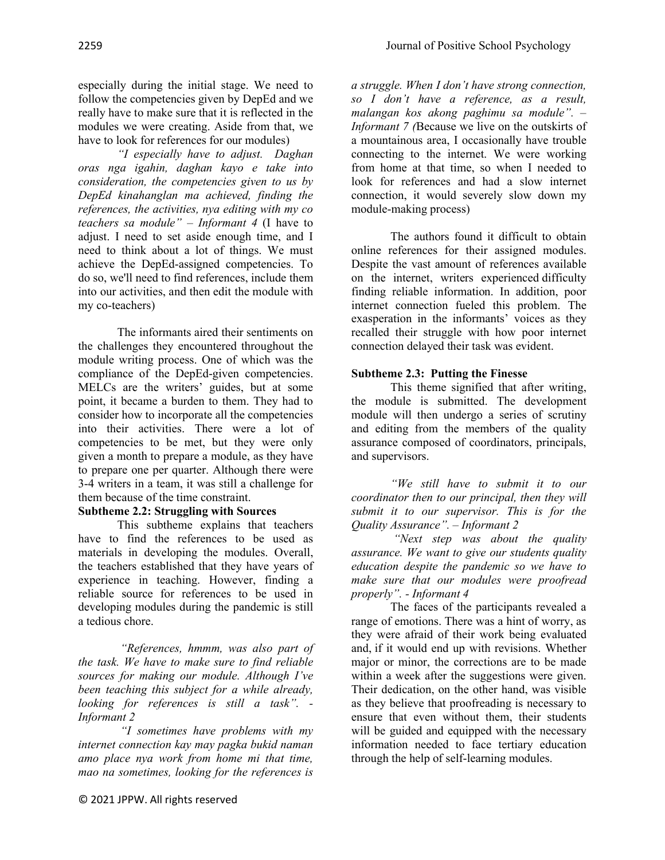especially during the initial stage. We need to follow the competencies given by DepEd and we really have to make sure that it is reflected in the modules we were creating. Aside from that, we have to look for references for our modules)

*"I especially have to adjust. Daghan oras nga igahin, daghan kayo e take into consideration, the competencies given to us by DepEd kinahanglan ma achieved, finding the references, the activities, nya editing with my co teachers sa module" – Informant 4* (I have to adjust. I need to set aside enough time, and I need to think about a lot of things. We must achieve the DepEd-assigned competencies. To do so, we'll need to find references, include them into our activities, and then edit the module with my co-teachers)

The informants aired their sentiments on the challenges they encountered throughout the module writing process. One of which was the compliance of the DepEd-given competencies. MELCs are the writers' guides, but at some point, it became a burden to them. They had to consider how to incorporate all the competencies into their activities. There were a lot of competencies to be met, but they were only given a month to prepare a module, as they have to prepare one per quarter. Although there were 3-4 writers in a team, it was still a challenge for them because of the time constraint.

# **Subtheme 2.2: Struggling with Sources**

This subtheme explains that teachers have to find the references to be used as materials in developing the modules. Overall, the teachers established that they have years of experience in teaching. However, finding a reliable source for references to be used in developing modules during the pandemic is still a tedious chore.

*"References, hmmm, was also part of the task. We have to make sure to find reliable sources for making our module. Although I've been teaching this subject for a while already, looking for references is still a task". - Informant 2*

*"I sometimes have problems with my internet connection kay may pagka bukid naman amo place nya work from home mi that time, mao na sometimes, looking for the references is* 

*a struggle. When I don't have strong connection, so I don't have a reference, as a result, malangan kos akong paghimu sa module". – Informant 7 (*Because we live on the outskirts of a mountainous area, I occasionally have trouble connecting to the internet. We were working from home at that time, so when I needed to look for references and had a slow internet connection, it would severely slow down my module-making process)

The authors found it difficult to obtain online references for their assigned modules. Despite the vast amount of references available on the internet, writers experienced difficulty finding reliable information. In addition, poor internet connection fueled this problem. The exasperation in the informants' voices as they recalled their struggle with how poor internet connection delayed their task was evident.

# **Subtheme 2.3: Putting the Finesse**

This theme signified that after writing, the module is submitted. The development module will then undergo a series of scrutiny and editing from the members of the quality assurance composed of coordinators, principals, and supervisors.

*"We still have to submit it to our coordinator then to our principal, then they will submit it to our supervisor. This is for the Quality Assurance". – Informant 2*

*"Next step was about the quality assurance. We want to give our students quality education despite the pandemic so we have to make sure that our modules were proofread properly". - Informant 4* 

The faces of the participants revealed a range of emotions. There was a hint of worry, as they were afraid of their work being evaluated and, if it would end up with revisions. Whether major or minor, the corrections are to be made within a week after the suggestions were given. Their dedication, on the other hand, was visible as they believe that proofreading is necessary to ensure that even without them, their students will be guided and equipped with the necessary information needed to face tertiary education through the help of self-learning modules.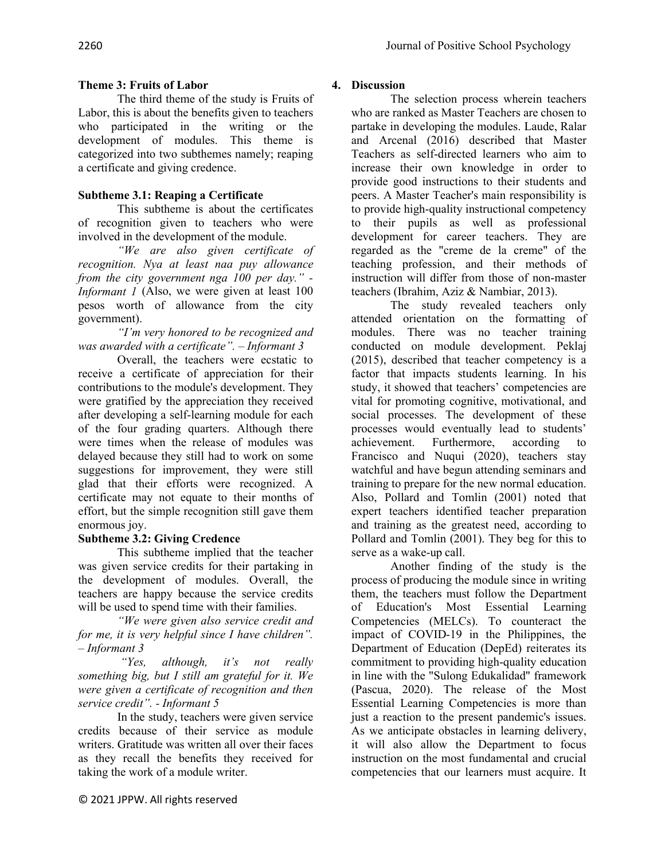# **Theme 3: Fruits of Labor**

The third theme of the study is Fruits of Labor, this is about the benefits given to teachers who participated in the writing or the development of modules. This theme is categorized into two subthemes namely; reaping a certificate and giving credence.

# **Subtheme 3.1: Reaping a Certificate**

This subtheme is about the certificates of recognition given to teachers who were involved in the development of the module.

*"We are also given certificate of recognition. Nya at least naa puy allowance from the city government nga 100 per day." - Informant 1* (Also, we were given at least 100 pesos worth of allowance from the city government).

*"I'm very honored to be recognized and was awarded with a certificate". – Informant 3*

Overall, the teachers were ecstatic to receive a certificate of appreciation for their contributions to the module's development. They were gratified by the appreciation they received after developing a self-learning module for each of the four grading quarters. Although there were times when the release of modules was delayed because they still had to work on some suggestions for improvement, they were still glad that their efforts were recognized. A certificate may not equate to their months of effort, but the simple recognition still gave them enormous joy.

# **Subtheme 3.2: Giving Credence**

This subtheme implied that the teacher was given service credits for their partaking in the development of modules. Overall, the teachers are happy because the service credits will be used to spend time with their families.

*"We were given also service credit and for me, it is very helpful since I have children". – Informant 3*

*"Yes, although, it's not really something big, but I still am grateful for it. We were given a certificate of recognition and then service credit". - Informant 5*

In the study, teachers were given service credits because of their service as module writers. Gratitude was written all over their faces as they recall the benefits they received for taking the work of a module writer.

The selection process wherein teachers

**4. Discussion**

who are ranked as Master Teachers are chosen to partake in developing the modules. Laude, Ralar and Arcenal (2016) described that Master Teachers as self-directed learners who aim to increase their own knowledge in order to provide good instructions to their students and peers. A Master Teacher's main responsibility is to provide high-quality instructional competency to their pupils as well as professional development for career teachers. They are regarded as the "creme de la creme" of the teaching profession, and their methods of instruction will differ from those of non-master teachers (Ibrahim, Aziz & Nambiar, 2013).

The study revealed teachers only attended orientation on the formatting of modules. There was no teacher training conducted on module development. Peklaj (2015), described that teacher competency is a factor that impacts students learning. In his study, it showed that teachers' competencies are vital for promoting cognitive, motivational, and social processes. The development of these processes would eventually lead to students' achievement. Furthermore, according to Francisco and Nuqui (2020), teachers stay watchful and have begun attending seminars and training to prepare for the new normal education. Also, Pollard and Tomlin (2001) noted that expert teachers identified teacher preparation and training as the greatest need, according to Pollard and Tomlin (2001). They beg for this to serve as a wake-up call.

Another finding of the study is the process of producing the module since in writing them, the teachers must follow the Department of Education's Most Essential Learning Competencies (MELCs). To counteract the impact of COVID-19 in the Philippines, the Department of Education (DepEd) reiterates its commitment to providing high-quality education in line with the "Sulong Edukalidad" framework (Pascua, 2020). The release of the Most Essential Learning Competencies is more than just a reaction to the present pandemic's issues. As we anticipate obstacles in learning delivery, it will also allow the Department to focus instruction on the most fundamental and crucial competencies that our learners must acquire. It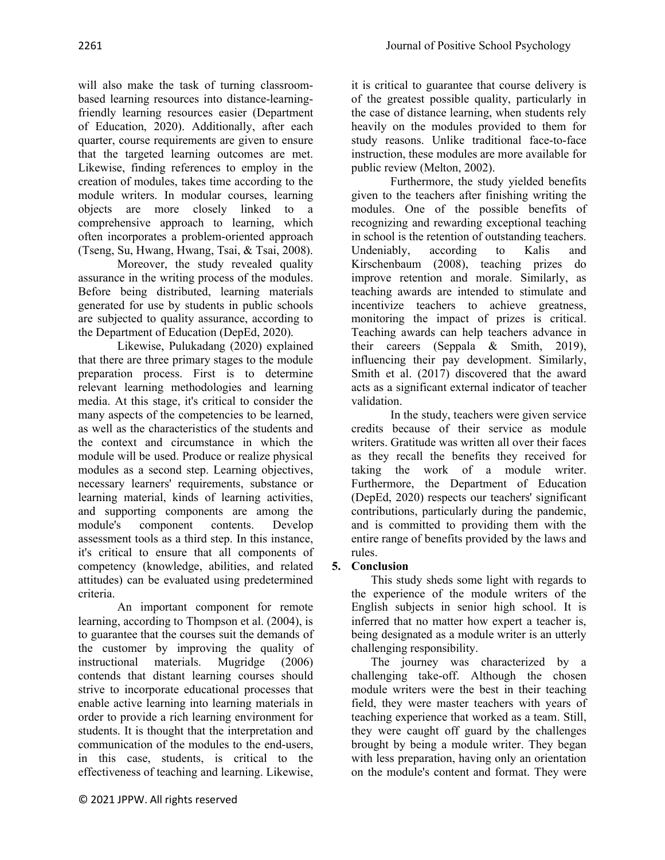will also make the task of turning classroombased learning resources into distance-learningfriendly learning resources easier (Department of Education, 2020). Additionally, after each quarter, course requirements are given to ensure that the targeted learning outcomes are met. Likewise, finding references to employ in the creation of modules, takes time according to the module writers. In modular courses, learning objects are more closely linked to a comprehensive approach to learning, which often incorporates a problem-oriented approach (Tseng, Su, Hwang, Hwang, Tsai, & Tsai, 2008).

Moreover, the study revealed quality assurance in the writing process of the modules. Before being distributed, learning materials generated for use by students in public schools are subjected to quality assurance, according to the Department of Education (DepEd, 2020).

Likewise, Pulukadang (2020) explained that there are three primary stages to the module preparation process. First is to determine relevant learning methodologies and learning media. At this stage, it's critical to consider the many aspects of the competencies to be learned, as well as the characteristics of the students and the context and circumstance in which the module will be used. Produce or realize physical modules as a second step. Learning objectives, necessary learners' requirements, substance or learning material, kinds of learning activities, and supporting components are among the module's component contents. Develop assessment tools as a third step. In this instance, it's critical to ensure that all components of competency (knowledge, abilities, and related attitudes) can be evaluated using predetermined criteria.

An important component for remote learning, according to Thompson et al. (2004), is to guarantee that the courses suit the demands of the customer by improving the quality of instructional materials. Mugridge (2006) contends that distant learning courses should strive to incorporate educational processes that enable active learning into learning materials in order to provide a rich learning environment for students. It is thought that the interpretation and communication of the modules to the end-users, in this case, students, is critical to the effectiveness of teaching and learning. Likewise,

it is critical to guarantee that course delivery is of the greatest possible quality, particularly in the case of distance learning, when students rely heavily on the modules provided to them for study reasons. Unlike traditional face-to-face instruction, these modules are more available for public review (Melton, 2002).

Furthermore, the study yielded benefits given to the teachers after finishing writing the modules. One of the possible benefits of recognizing and rewarding exceptional teaching in school is the retention of outstanding teachers. Undeniably, according to Kalis and Kirschenbaum (2008), teaching prizes do improve retention and morale. Similarly, as teaching awards are intended to stimulate and incentivize teachers to achieve greatness, monitoring the impact of prizes is critical. Teaching awards can help teachers advance in their careers (Seppala & Smith, 2019), influencing their pay development. Similarly, Smith et al. (2017) discovered that the award acts as a significant external indicator of teacher validation.

In the study, teachers were given service credits because of their service as module writers. Gratitude was written all over their faces as they recall the benefits they received for taking the work of a module writer. Furthermore, the Department of Education (DepEd, 2020) respects our teachers' significant contributions, particularly during the pandemic, and is committed to providing them with the entire range of benefits provided by the laws and rules.

# **5. Conclusion**

This study sheds some light with regards to the experience of the module writers of the English subjects in senior high school. It is inferred that no matter how expert a teacher is, being designated as a module writer is an utterly challenging responsibility.

The journey was characterized by a challenging take-off. Although the chosen module writers were the best in their teaching field, they were master teachers with years of teaching experience that worked as a team. Still, they were caught off guard by the challenges brought by being a module writer. They began with less preparation, having only an orientation on the module's content and format. They were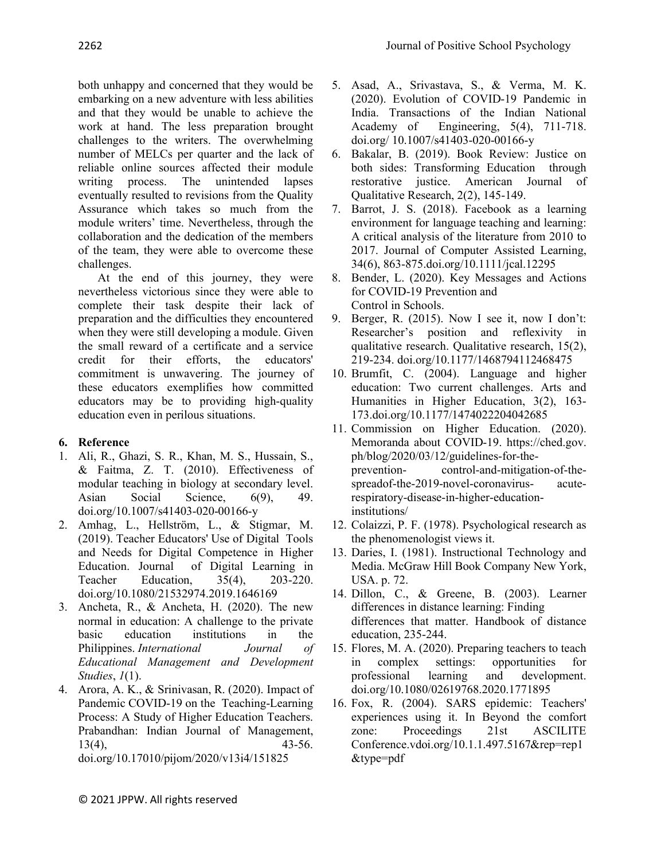both unhappy and concerned that they would be embarking on a new adventure with less abilities and that they would be unable to achieve the work at hand. The less preparation brought challenges to the writers. The overwhelming number of MELCs per quarter and the lack of reliable online sources affected their module writing process. The unintended lapses eventually resulted to revisions from the Quality Assurance which takes so much from the module writers' time. Nevertheless, through the collaboration and the dedication of the members of the team, they were able to overcome these challenges.

At the end of this journey, they were nevertheless victorious since they were able to complete their task despite their lack of preparation and the difficulties they encountered when they were still developing a module. Given the small reward of a certificate and a service credit for their efforts, the educators' commitment is unwavering. The journey of these educators exemplifies how committed educators may be to providing high-quality education even in perilous situations.

# **6. Reference**

- 1. Ali, R., Ghazi, S. R., Khan, M. S., Hussain, S., & Faitma, Z. T. (2010). Effectiveness of modular teaching in biology at secondary level. Asian Social Science, 6(9), 49. doi.org/10.1007/s41403-020-00166-y
- 2. Amhag, L., Hellström, L., & Stigmar, M. (2019). Teacher Educators' Use of Digital Tools and Needs for Digital Competence in Higher Education. Journal of Digital Learning in Teacher Education, 35(4), 203-220. doi.org/10.1080/21532974.2019.1646169
- 3. Ancheta, R., & Ancheta, H. (2020). The new normal in education: A challenge to the private basic education institutions in the Philippines. *International Journal of Educational Management and Development Studies*, *1*(1).
- 4. Arora, A. K., & Srinivasan, R. (2020). Impact of Pandemic COVID-19 on the Teaching-Learning Process: A Study of Higher Education Teachers. Prabandhan: Indian Journal of Management, 13(4), 43-56. doi.org/10.17010/pijom/2020/v13i4/151825
- 5. Asad, A., Srivastava, S., & Verma, M. K. (2020). Evolution of COVID-19 Pandemic in India. Transactions of the Indian National Academy of Engineering, 5(4), 711-718. doi.org/ 10.1007/s41403-020-00166-y
- 6. Bakalar, B. (2019). Book Review: Justice on both sides: Transforming Education through restorative justice. American Journal of Qualitative Research, 2(2), 145-149.
- 7. Barrot, J. S. (2018). Facebook as a learning environment for language teaching and learning: A critical analysis of the literature from 2010 to 2017. Journal of Computer Assisted Learning, 34(6), 863-875.doi.org/10.1111/jcal.12295
- 8. Bender, L. (2020). Key Messages and Actions for COVID-19 Prevention and Control in Schools.
- 9. Berger, R. (2015). Now I see it, now I don't: Researcher's position and reflexivity in qualitative research. Qualitative research, 15(2), 219-234. doi.org/10.1177/1468794112468475
- 10. Brumfit, C. (2004). Language and higher education: Two current challenges. Arts and Humanities in Higher Education, 3(2), 163- 173.doi.org/10.1177/1474022204042685
- 11. Commission on Higher Education. (2020). Memoranda about COVID-19. https://ched.gov. ph/blog/2020/03/12/guidelines-for-theprevention- control-and-mitigation-of-thespreadof-the-2019-novel-coronavirus- acuterespiratory-disease-in-higher-educationinstitutions/
- 12. Colaizzi, P. F. (1978). Psychological research as the phenomenologist views it.
- 13. Daries, I. (1981). Instructional Technology and Media. McGraw Hill Book Company New York, USA. p. 72.
- 14. Dillon, C., & Greene, B. (2003). Learner differences in distance learning: Finding differences that matter. Handbook of distance education, 235-244.
- 15. Flores, M. A. (2020). Preparing teachers to teach in complex settings: opportunities for professional learning and development. doi.org/10.1080/02619768.2020.1771895
- 16. Fox, R. (2004). SARS epidemic: Teachers' experiences using it. In Beyond the comfort zone: Proceedings 21st ASCILITE Conference.vdoi.org/10.1.1.497.5167&rep=rep1 &type=pdf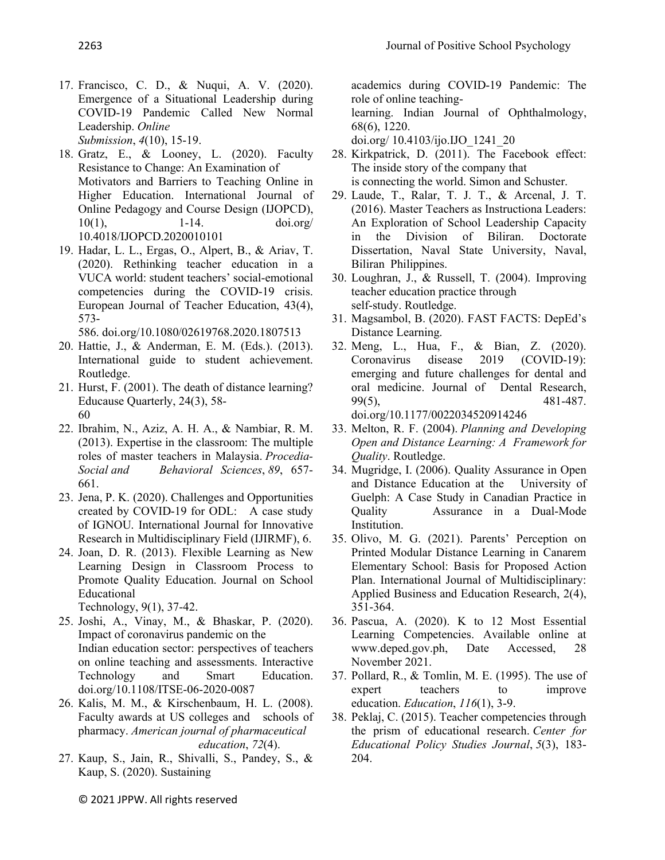- 17. Francisco, C. D., & Nuqui, A. V. (2020). Emergence of a Situational Leadership during COVID-19 Pandemic Called New Normal Leadership. *Online Submission*, *4*(10), 15-19.
- 18. Gratz, E., & Looney, L. (2020). Faculty Resistance to Change: An Examination of Motivators and Barriers to Teaching Online in Higher Education. International Journal of Online Pedagogy and Course Design (IJOPCD), 10(1), 1-14. doi.org/ 10.4018/IJOPCD.2020010101
- 19. Hadar, L. L., Ergas, O., Alpert, B., & Ariav, T. (2020). Rethinking teacher education in a VUCA world: student teachers' social-emotional competencies during the COVID-19 crisis. European Journal of Teacher Education, 43(4), 573-

586. doi.org/10.1080/02619768.2020.1807513

- 20. Hattie, J., & Anderman, E. M. (Eds.). (2013). International guide to student achievement. Routledge.
- 21. Hurst, F. (2001). The death of distance learning? Educause Quarterly, 24(3), 58- 60
- 22. Ibrahim, N., Aziz, A. H. A., & Nambiar, R. M. (2013). Expertise in the classroom: The multiple roles of master teachers in Malaysia. *Procedia-Social and Behavioral Sciences*, *89*, 657- 661.
- 23. Jena, P. K. (2020). Challenges and Opportunities created by COVID-19 for ODL: A case study of IGNOU. International Journal for Innovative Research in Multidisciplinary Field (IJIRMF), 6.
- 24. Joan, D. R. (2013). Flexible Learning as New Learning Design in Classroom Process to Promote Quality Education. Journal on School Educational Technology, 9(1), 37-42.
- 25. Joshi, A., Vinay, M., & Bhaskar, P. (2020). Impact of coronavirus pandemic on the Indian education sector: perspectives of teachers on online teaching and assessments. Interactive Technology and Smart Education.
- doi.org/10.1108/ITSE-06-2020-0087 26. Kalis, M. M., & Kirschenbaum, H. L. (2008).
- Faculty awards at US colleges and schools of pharmacy. *American journal of pharmaceutical education*, *72*(4).
- 27. Kaup, S., Jain, R., Shivalli, S., Pandey, S., & Kaup, S. (2020). Sustaining

academics during COVID-19 Pandemic: The role of online teaching-

learning. Indian Journal of Ophthalmology, 68(6), 1220.

doi.org/ 10.4103/ijo.IJO\_1241\_20

- 28. Kirkpatrick, D. (2011). The Facebook effect: The inside story of the company that is connecting the world. Simon and Schuster.
- 29. Laude, T., Ralar, T. J. T., & Arcenal, J. T. (2016). Master Teachers as Instructiona Leaders: An Exploration of School Leadership Capacity in the Division of Biliran. Doctorate Dissertation, Naval State University, Naval, Biliran Philippines.
- 30. Loughran, J., & Russell, T. (2004). Improving teacher education practice through self-study. Routledge.
- 31. Magsambol, B. (2020). FAST FACTS: DepEd's Distance Learning.
- 32. Meng, L., Hua, F., & Bian, Z. (2020). Coronavirus disease 2019 (COVID-19): emerging and future challenges for dental and oral medicine. Journal of Dental Research, 99(5), 481-487. doi.org/10.1177/0022034520914246
- 33. Melton, R. F. (2004). *Planning and Developing Open and Distance Learning: A Framework for Quality*. Routledge.
- 34. Mugridge, I. (2006). Quality Assurance in Open and Distance Education at the University of Guelph: A Case Study in Canadian Practice in Quality Assurance in a Dual-Mode Institution.
- 35. Olivo, M. G. (2021). Parents' Perception on Printed Modular Distance Learning in Canarem Elementary School: Basis for Proposed Action Plan. International Journal of Multidisciplinary: Applied Business and Education Research, 2(4), 351-364.
- 36. Pascua, A. (2020). K to 12 Most Essential Learning Competencies. Available online at www.deped.gov.ph, Date Accessed, 28 November 2021.
- 37. Pollard, R., & Tomlin, M. E. (1995). The use of expert teachers to improve education. *Education*, *116*(1), 3-9.
- 38. Peklaj, C. (2015). Teacher competencies through the prism of educational research. *Center for Educational Policy Studies Journal*, *5*(3), 183- 204.

© 2021 JPPW. All rights reserved